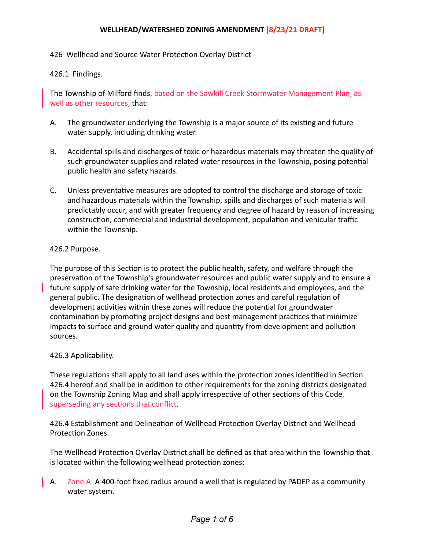## WELLHEAD/WATERSHED ZONING AMENDMENT [8/23/21 DRAFT]

426 Wellhead and Source Water Protection Overlay District

426.1 Findings.

The Township of Milford finds, based on the Sawkill Creek Stormwater Management Plan, as well as other resources, that:

- A. The groundwater underlying the Township is a major source of its existing and future water supply, including drinking water.
- B. Accidental spills and discharges of toxic or hazardous materials may threaten the quality of such groundwater supplies and related water resources in the Township, posing potential public health and safety hazards.
- C. Unless preventative measures are adopted to control the discharge and storage of toxic and hazardous materials within the Township, spills and discharges of such materials will predictably occur, and with greater frequency and degree of hazard by reason of increasing construction, commercial and industrial development, population and vehicular traffic within the Township.

## 426.2 Purpose.

The purpose of this Section is to protect the public health, safety, and welfare through the preservation of the Township's groundwater resources and public water supply and to ensure a **future** supply of safe drinking water for the Township, local residents and employees, and the general public. The designation of wellhead protection zones and careful regulation of development activities within these zones will reduce the potential for groundwater contamination by promoting project designs and best management practices that minimize impacts to surface and ground water quality and quantity from development and pollution sources. 

## 426.3 Applicability.

These regulations shall apply to all land uses within the protection zones identified in Section 426.4 hereof and shall be in addition to other requirements for the zoning districts designated on the Township Zoning Map and shall apply irrespective of other sections of this Code, superseding any sections that conflict.

426.4 Establishment and Delineation of Wellhead Protection Overlay District and Wellhead Protection Zones.

The Wellhead Protection Overlay District shall be defined as that area within the Township that is located within the following wellhead protection zones:

A.  $\overline{Z}$  Dne A: A 400-foot fixed radius around a well that is regulated by PADEP as a community water system.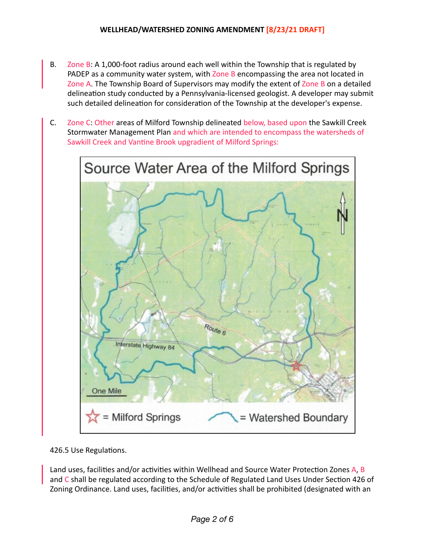- B. Zone B: A 1,000-foot radius around each well within the Township that is regulated by PADEP as a community water system, with Zone B encompassing the area not located in Zone A. The Township Board of Supervisors may modify the extent of Zone B on a detailed delineation study conducted by a Pennsylvania-licensed geologist. A developer may submit such detailed delineation for consideration of the Township at the developer's expense.
- C. Zone C: Other areas of Milford Township delineated below, based upon the Sawkill Creek Stormwater Management Plan and which are intended to encompass the watersheds of Sawkill Creek and Vantine Brook upgradient of Milford Springs:



426.5 Use Regulations.

Land uses, facilities and/or activities within Wellhead and Source Water Protection Zones A, B and C shall be regulated according to the Schedule of Regulated Land Uses Under Section 426 of Zoning Ordinance. Land uses, facilities, and/or activities shall be prohibited (designated with an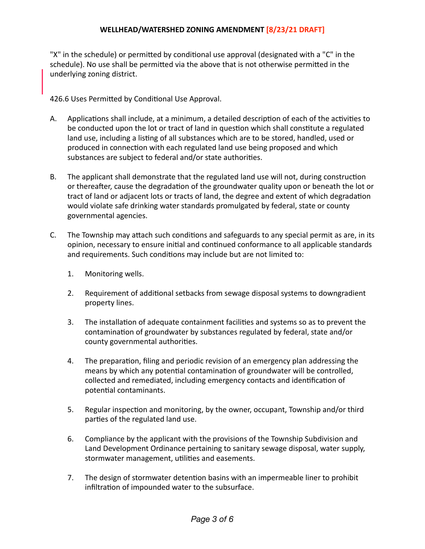"X" in the schedule) or permitted by conditional use approval (designated with a "C" in the schedule). No use shall be permitted via the above that is not otherwise permitted in the underlying zoning district.

426.6 Uses Permitted by Conditional Use Approval.

- A. Applications shall include, at a minimum, a detailed description of each of the activities to be conducted upon the lot or tract of land in question which shall constitute a regulated land use, including a listing of all substances which are to be stored, handled, used or produced in connection with each regulated land use being proposed and which substances are subject to federal and/or state authorities.
- B. The applicant shall demonstrate that the regulated land use will not, during construction or thereafter, cause the degradation of the groundwater quality upon or beneath the lot or tract of land or adjacent lots or tracts of land, the degree and extent of which degradation would violate safe drinking water standards promulgated by federal, state or county governmental agencies.
- C. The Township may attach such conditions and safeguards to any special permit as are, in its opinion, necessary to ensure initial and continued conformance to all applicable standards and requirements. Such conditions may include but are not limited to:
	- 1. Monitoring wells.
	- 2. Requirement of additional setbacks from sewage disposal systems to downgradient property lines.
	- 3. The installation of adequate containment facilities and systems so as to prevent the contamination of groundwater by substances regulated by federal, state and/or county governmental authorities.
	- 4. The preparation, filing and periodic revision of an emergency plan addressing the means by which any potential contamination of groundwater will be controlled, collected and remediated, including emergency contacts and identification of potential contaminants.
	- 5. Regular inspection and monitoring, by the owner, occupant, Township and/or third parties of the regulated land use.
	- 6. Compliance by the applicant with the provisions of the Township Subdivision and Land Development Ordinance pertaining to sanitary sewage disposal, water supply, stormwater management, utilities and easements.
	- 7. The design of stormwater detention basins with an impermeable liner to prohibit infiltration of impounded water to the subsurface.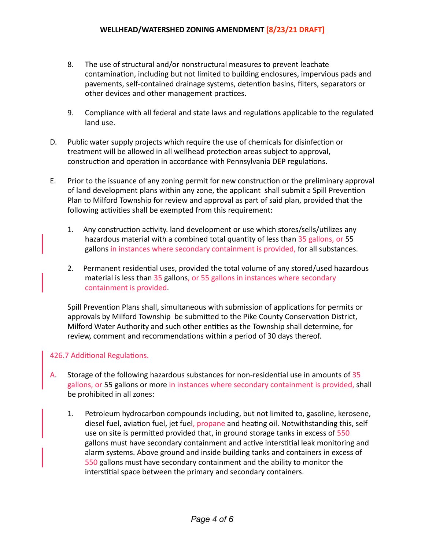- 8. The use of structural and/or nonstructural measures to prevent leachate contamination, including but not limited to building enclosures, impervious pads and pavements, self-contained drainage systems, detention basins, filters, separators or other devices and other management practices.
- 9. Compliance with all federal and state laws and regulations applicable to the regulated land use.
- D. Public water supply projects which require the use of chemicals for disinfection or treatment will be allowed in all wellhead protection areas subject to approval, construction and operation in accordance with Pennsylvania DEP regulations.
- E. Prior to the issuance of any zoning permit for new construction or the preliminary approval of land development plans within any zone, the applicant shall submit a Spill Prevention Plan to Milford Township for review and approval as part of said plan, provided that the following activities shall be exempted from this requirement:
	- 1. Any construction activity. land development or use which stores/sells/utilizes any hazardous material with a combined total quantity of less than 35 gallons, or 55 gallons in instances where secondary containment is provided, for all substances.
	- 2. Permanent residential uses, provided the total volume of any stored/used hazardous material is less than 35 gallons, or 55 gallons in instances where secondary containment is provided.

Spill Prevention Plans shall, simultaneous with submission of applications for permits or approvals by Milford Township be submitted to the Pike County Conservation District, Milford Water Authority and such other entities as the Township shall determine, for review, comment and recommendations within a period of 30 days thereof.

## 426.7 Additional Regulations.

- A. Storage of the following hazardous substances for non-residential use in amounts of 35 gallons, or 55 gallons or more in instances where secondary containment is provided, shall be prohibited in all zones:
	- 1. Petroleum hydrocarbon compounds including, but not limited to, gasoline, kerosene, diesel fuel, aviation fuel, jet fuel, propane and heating oil. Notwithstanding this, self use on site is permitted provided that, in ground storage tanks in excess of 550 gallons must have secondary containment and active interstitial leak monitoring and alarm systems. Above ground and inside building tanks and containers in excess of 550 gallons must have secondary containment and the ability to monitor the interstitial space between the primary and secondary containers.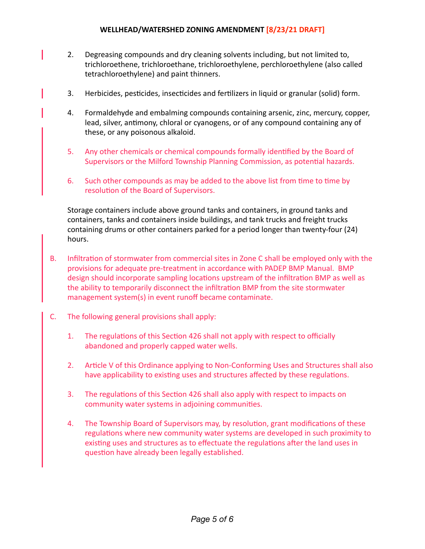- 2. Degreasing compounds and dry cleaning solvents including, but not limited to, trichloroethene, trichloroethane, trichloroethylene, perchloroethylene (also called tetrachloroethylene) and paint thinners.
- 3. Herbicides, pesticides, insecticides and fertilizers in liquid or granular (solid) form.
- 4. Formaldehyde and embalming compounds containing arsenic, zinc, mercury, copper, lead, silver, antimony, chloral or cyanogens, or of any compound containing any of these, or any poisonous alkaloid.
- 5. Any other chemicals or chemical compounds formally identified by the Board of Supervisors or the Milford Township Planning Commission, as potential hazards.
- 6. Such other compounds as may be added to the above list from time to time by resolution of the Board of Supervisors.

Storage containers include above ground tanks and containers, in ground tanks and containers, tanks and containers inside buildings, and tank trucks and freight trucks containing drums or other containers parked for a period longer than twenty-four (24) hours.

- B. Infiltration of stormwater from commercial sites in Zone C shall be employed only with the provisions for adequate pre-treatment in accordance with PADEP BMP Manual. BMP design should incorporate sampling locations upstream of the infiltration BMP as well as the ability to temporarily disconnect the infiltration BMP from the site stormwater management system(s) in event runoff became contaminate.
- $C.$  The following general provisions shall apply:
	- 1. The regulations of this Section 426 shall not apply with respect to officially abandoned and properly capped water wells.
	- 2. Article V of this Ordinance applying to Non-Conforming Uses and Structures shall also have applicability to existing uses and structures affected by these regulations.
	- 3. The regulations of this Section 426 shall also apply with respect to impacts on community water systems in adjoining communities.
	- 4. The Township Board of Supervisors may, by resolution, grant modifications of these regulations where new community water systems are developed in such proximity to existing uses and structures as to effectuate the regulations after the land uses in question have already been legally established.